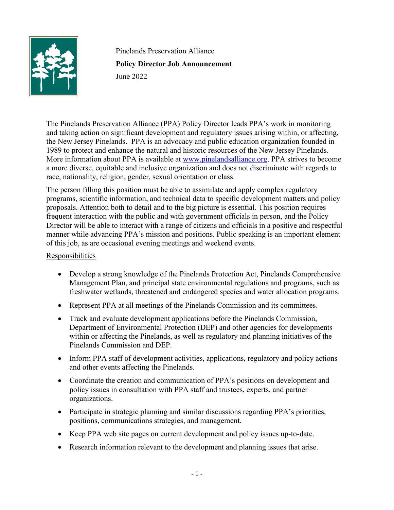

Pinelands Preservation Alliance **Policy Director Job Announcement** June 2022

The Pinelands Preservation Alliance (PPA) Policy Director leads PPA's work in monitoring and taking action on significant development and regulatory issues arising within, or affecting, the New Jersey Pinelands. PPA is an advocacy and public education organization founded in 1989 to protect and enhance the natural and historic resources of the New Jersey Pinelands. More information about PPA is available at [www.pinelandsalliance.org.](http://www.pinelandsalliance.org/) PPA strives to become a more diverse, equitable and inclusive organization and does not discriminate with regards to race, nationality, religion, gender, sexual orientation or class.

The person filling this position must be able to assimilate and apply complex regulatory programs, scientific information, and technical data to specific development matters and policy proposals. Attention both to detail and to the big picture is essential. This position requires frequent interaction with the public and with government officials in person, and the Policy Director will be able to interact with a range of citizens and officials in a positive and respectful manner while advancing PPA's mission and positions. Public speaking is an important element of this job, as are occasional evening meetings and weekend events.

## **Responsibilities**

- Develop a strong knowledge of the Pinelands Protection Act, Pinelands Comprehensive Management Plan, and principal state environmental regulations and programs, such as freshwater wetlands, threatened and endangered species and water allocation programs.
- Represent PPA at all meetings of the Pinelands Commission and its committees.
- Track and evaluate development applications before the Pinelands Commission, Department of Environmental Protection (DEP) and other agencies for developments within or affecting the Pinelands, as well as regulatory and planning initiatives of the Pinelands Commission and DEP.
- Inform PPA staff of development activities, applications, regulatory and policy actions and other events affecting the Pinelands.
- Coordinate the creation and communication of PPA's positions on development and policy issues in consultation with PPA staff and trustees, experts, and partner organizations.
- Participate in strategic planning and similar discussions regarding PPA's priorities, positions, communications strategies, and management.
- Keep PPA web site pages on current development and policy issues up-to-date.
- Research information relevant to the development and planning issues that arise.